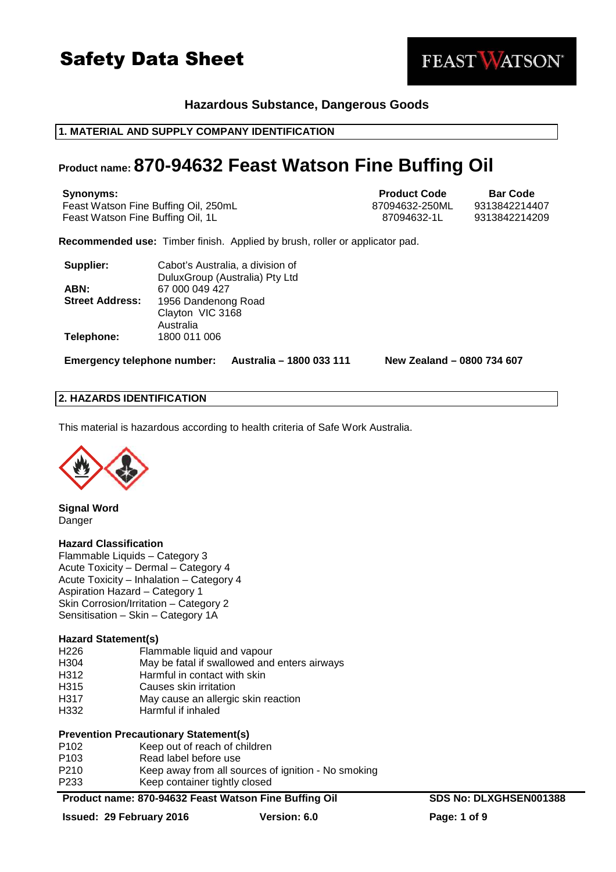

### **Hazardous Substance, Dangerous Goods**

### **1. MATERIAL AND SUPPLY COMPANY IDENTIFICATION**

### **Product name: 870-94632 Feast Watson Fine Buffing Oil**

Feast Watson Fine Buffing Oil, 250mL 87094632-250ML 9313842214407 Feast Watson Fine Buffing Oil, 1L 87094632-1L 9313842214209

**Synonyms: Product Code Bar Code** 

**FEAST WATSON** 

**Recommended use:** Timber finish. Applied by brush, roller or applicator pad.

| Supplier:              | Cabot's Australia, a division of |
|------------------------|----------------------------------|
|                        | DuluxGroup (Australia) Pty Ltd   |
| ABN:                   | 67 000 049 427                   |
| <b>Street Address:</b> | 1956 Dandenong Road              |
|                        | Clayton VIC 3168                 |
|                        | Australia                        |
| Telephone:             | 1800 011 006                     |

**Emergency telephone number: Australia – 1800 033 111 New Zealand – 0800 734 607**

### **2. HAZARDS IDENTIFICATION**

This material is hazardous according to health criteria of Safe Work Australia.



**Signal Word**  Danger

### **Hazard Classification**

Flammable Liquids – Category 3 Acute Toxicity – Dermal – Category 4 Acute Toxicity – Inhalation – Category 4 Aspiration Hazard – Category 1 Skin Corrosion/Irritation – Category 2 Sensitisation – Skin – Category 1A

### **Hazard Statement(s)**

| H <sub>226</sub> | Flammable liquid and vapour                  |
|------------------|----------------------------------------------|
| H304             | May be fatal if swallowed and enters airways |
| H312             | Harmful in contact with skin                 |
| H315             | Causes skin irritation                       |
| H317             | May cause an allergic skin reaction          |

H332 Harmful if inhaled

### **Prevention Precautionary Statement(s)**

| P <sub>102</sub> | Keep out of reach of children                       |
|------------------|-----------------------------------------------------|
| P <sub>103</sub> | Read label before use                               |
| P210             | Keep away from all sources of ignition - No smoking |
| P233             | Keep container tightly closed                       |

### **Product name: 870-94632 Feast Watson Fine Buffing Oil SDS No: DLXGHSEN001388**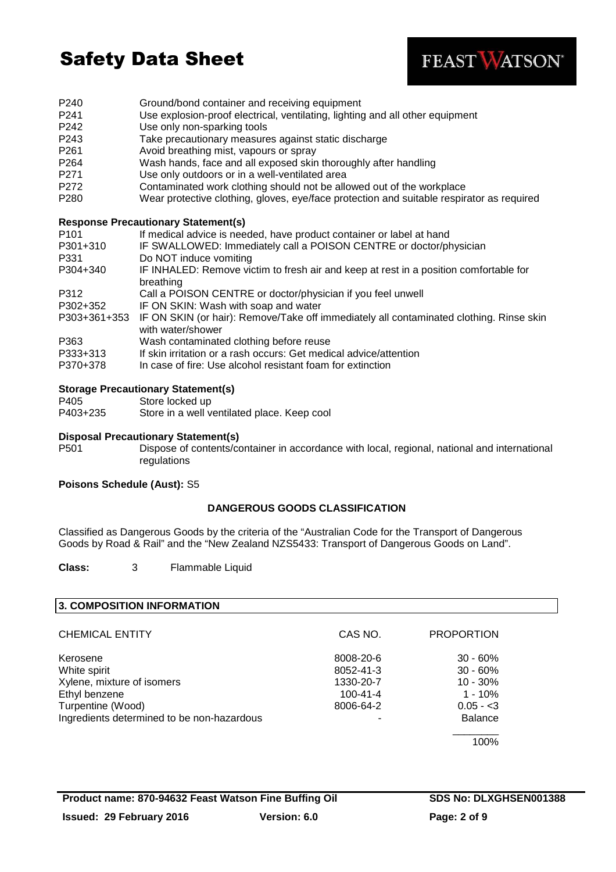

- P240 Ground/bond container and receiving equipment<br>
P241 Use explosion-proof electrical, ventilating, lighting
- Use explosion-proof electrical, ventilating, lighting and all other equipment
- P242 Use only non-sparking tools
- P243 Take precautionary measures against static discharge
- P261 Avoid breathing mist, vapours or spray
- P264 Wash hands, face and all exposed skin thoroughly after handling
- P271 Use only outdoors or in a well-ventilated area
- P272 Contaminated work clothing should not be allowed out of the workplace<br>P280 Wear protective clothing, gloves, eve/face protection and suitable respired
- Wear protective clothing, gloves, eye/face protection and suitable respirator as required

### **Response Precautionary Statement(s)**

| P <sub>101</sub>  | If medical advice is needed, have product container or label at hand                                         |
|-------------------|--------------------------------------------------------------------------------------------------------------|
| P301+310          | IF SWALLOWED: Immediately call a POISON CENTRE or doctor/physician                                           |
| P331              | Do NOT induce vomiting                                                                                       |
| P304+340          | IF INHALED: Remove victim to fresh air and keep at rest in a position comfortable for<br>breathing           |
| P312              | Call a POISON CENTRE or doctor/physician if you feel unwell                                                  |
| P302+352          | IF ON SKIN: Wash with soap and water                                                                         |
| P303+361+353      | IF ON SKIN (or hair): Remove/Take off immediately all contaminated clothing. Rinse skin<br>with water/shower |
| P363              | Wash contaminated clothing before reuse                                                                      |
| P333+313          | If skin irritation or a rash occurs: Get medical advice/attention                                            |
| <u>nozo . ozo</u> |                                                                                                              |

P370+378 In case of fire: Use alcohol resistant foam for extinction

### **Storage Precautionary Statement(s)**

P405 Store locked up

P403+235 Store in a well ventilated place. Keep cool

### **Disposal Precautionary Statement(s)**

P501 Dispose of contents/container in accordance with local, regional, national and international regulations

### **Poisons Schedule (Aust):** S5

### **DANGEROUS GOODS CLASSIFICATION**

Classified as Dangerous Goods by the criteria of the "Australian Code for the Transport of Dangerous Goods by Road & Rail" and the "New Zealand NZS5433: Transport of Dangerous Goods on Land".

**Class:** 3 Flammable Liquid

### **3. COMPOSITION INFORMATION**

| <b>CHEMICAL ENTITY</b>                     | CAS NO.        | <b>PROPORTION</b> |
|--------------------------------------------|----------------|-------------------|
| Kerosene                                   | 8008-20-6      | $30 - 60%$        |
| White spirit                               | 8052-41-3      | $30 - 60\%$       |
| Xylene, mixture of isomers                 | 1330-20-7      | $10 - 30%$        |
| Ethyl benzene                              | $100 - 41 - 4$ | $1 - 10%$         |
| Turpentine (Wood)                          | 8006-64-2      | $0.05 - 3$        |
| Ingredients determined to be non-hazardous |                | <b>Balance</b>    |
|                                            |                | 100%              |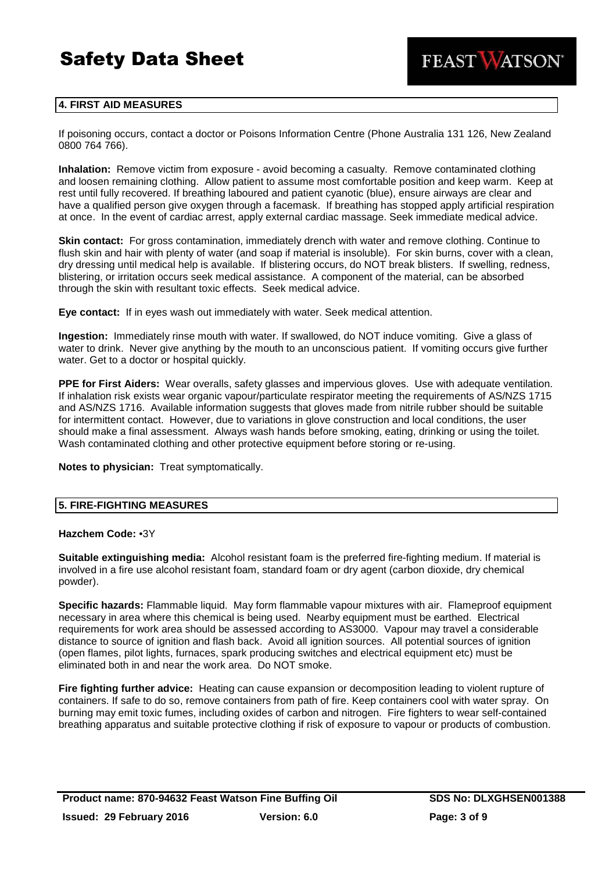

### **4. FIRST AID MEASURES**

If poisoning occurs, contact a doctor or Poisons Information Centre (Phone Australia 131 126, New Zealand 0800 764 766).

**Inhalation:** Remove victim from exposure - avoid becoming a casualty. Remove contaminated clothing and loosen remaining clothing. Allow patient to assume most comfortable position and keep warm. Keep at rest until fully recovered. If breathing laboured and patient cyanotic (blue), ensure airways are clear and have a qualified person give oxygen through a facemask. If breathing has stopped apply artificial respiration at once. In the event of cardiac arrest, apply external cardiac massage. Seek immediate medical advice.

**Skin contact:** For gross contamination, immediately drench with water and remove clothing. Continue to flush skin and hair with plenty of water (and soap if material is insoluble). For skin burns, cover with a clean, dry dressing until medical help is available. If blistering occurs, do NOT break blisters. If swelling, redness, blistering, or irritation occurs seek medical assistance. A component of the material, can be absorbed through the skin with resultant toxic effects. Seek medical advice.

**Eye contact:** If in eyes wash out immediately with water. Seek medical attention.

**Ingestion:** Immediately rinse mouth with water. If swallowed, do NOT induce vomiting. Give a glass of water to drink. Never give anything by the mouth to an unconscious patient. If vomiting occurs give further water. Get to a doctor or hospital quickly.

**PPE for First Aiders:** Wear overalls, safety glasses and impervious gloves. Use with adequate ventilation. If inhalation risk exists wear organic vapour/particulate respirator meeting the requirements of AS/NZS 1715 and AS/NZS 1716. Available information suggests that gloves made from nitrile rubber should be suitable for intermittent contact. However, due to variations in glove construction and local conditions, the user should make a final assessment. Always wash hands before smoking, eating, drinking or using the toilet. Wash contaminated clothing and other protective equipment before storing or re-using.

**Notes to physician:** Treat symptomatically.

### **5. FIRE-FIGHTING MEASURES**

### **Hazchem Code:** •3Y

**Suitable extinguishing media:** Alcohol resistant foam is the preferred fire-fighting medium. If material is involved in a fire use alcohol resistant foam, standard foam or dry agent (carbon dioxide, dry chemical powder).

**Specific hazards:** Flammable liquid. May form flammable vapour mixtures with air. Flameproof equipment necessary in area where this chemical is being used. Nearby equipment must be earthed. Electrical requirements for work area should be assessed according to AS3000. Vapour may travel a considerable distance to source of ignition and flash back. Avoid all ignition sources. All potential sources of ignition (open flames, pilot lights, furnaces, spark producing switches and electrical equipment etc) must be eliminated both in and near the work area. Do NOT smoke.

**Fire fighting further advice:** Heating can cause expansion or decomposition leading to violent rupture of containers. If safe to do so, remove containers from path of fire. Keep containers cool with water spray. On burning may emit toxic fumes, including oxides of carbon and nitrogen. Fire fighters to wear self-contained breathing apparatus and suitable protective clothing if risk of exposure to vapour or products of combustion.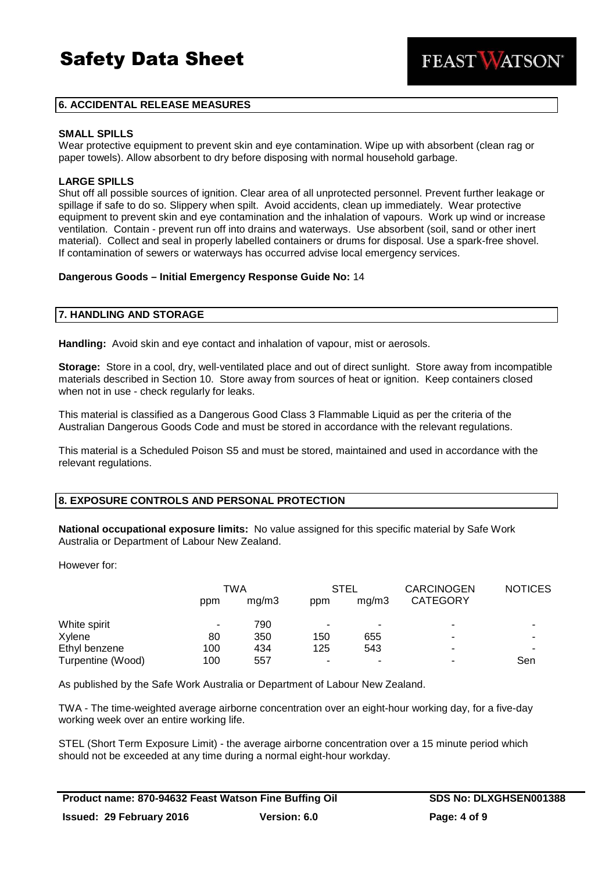**FEAST WATSON** 

### **6. ACCIDENTAL RELEASE MEASURES**

#### **SMALL SPILLS**

Wear protective equipment to prevent skin and eye contamination. Wipe up with absorbent (clean rag or paper towels). Allow absorbent to dry before disposing with normal household garbage.

### **LARGE SPILLS**

Shut off all possible sources of ignition. Clear area of all unprotected personnel. Prevent further leakage or spillage if safe to do so. Slippery when spilt. Avoid accidents, clean up immediately. Wear protective equipment to prevent skin and eye contamination and the inhalation of vapours. Work up wind or increase ventilation. Contain - prevent run off into drains and waterways. Use absorbent (soil, sand or other inert material). Collect and seal in properly labelled containers or drums for disposal. Use a spark-free shovel. If contamination of sewers or waterways has occurred advise local emergency services.

### **Dangerous Goods – Initial Emergency Response Guide No:** 14

### **7. HANDLING AND STORAGE**

**Handling:** Avoid skin and eye contact and inhalation of vapour, mist or aerosols.

**Storage:** Store in a cool, dry, well-ventilated place and out of direct sunlight. Store away from incompatible materials described in Section 10. Store away from sources of heat or ignition. Keep containers closed when not in use - check regularly for leaks.

This material is classified as a Dangerous Good Class 3 Flammable Liquid as per the criteria of the Australian Dangerous Goods Code and must be stored in accordance with the relevant regulations.

This material is a Scheduled Poison S5 and must be stored, maintained and used in accordance with the relevant regulations.

### **8. EXPOSURE CONTROLS AND PERSONAL PROTECTION**

**National occupational exposure limits:** No value assigned for this specific material by Safe Work Australia or Department of Labour New Zealand.

However for:

|                   | TWA |       | STEL                     |       | <b>CARCINOGEN</b> | <b>NOTICES</b> |
|-------------------|-----|-------|--------------------------|-------|-------------------|----------------|
|                   | ppm | ma/m3 | ppm                      | ma/m3 | <b>CATEGORY</b>   |                |
| White spirit      | ۰   | 790   | $\overline{\phantom{a}}$ | ۰     | ۰                 |                |
| Xylene            | 80  | 350   | 150                      | 655   | -                 |                |
| Ethyl benzene     | 100 | 434   | 125                      | 543   | -                 |                |
| Turpentine (Wood) | 100 | 557   | $\overline{\phantom{a}}$ | ۰     | ۰                 | Sen            |

As published by the Safe Work Australia or Department of Labour New Zealand.

TWA - The time-weighted average airborne concentration over an eight-hour working day, for a five-day working week over an entire working life.

STEL (Short Term Exposure Limit) - the average airborne concentration over a 15 minute period which should not be exceeded at any time during a normal eight-hour workday.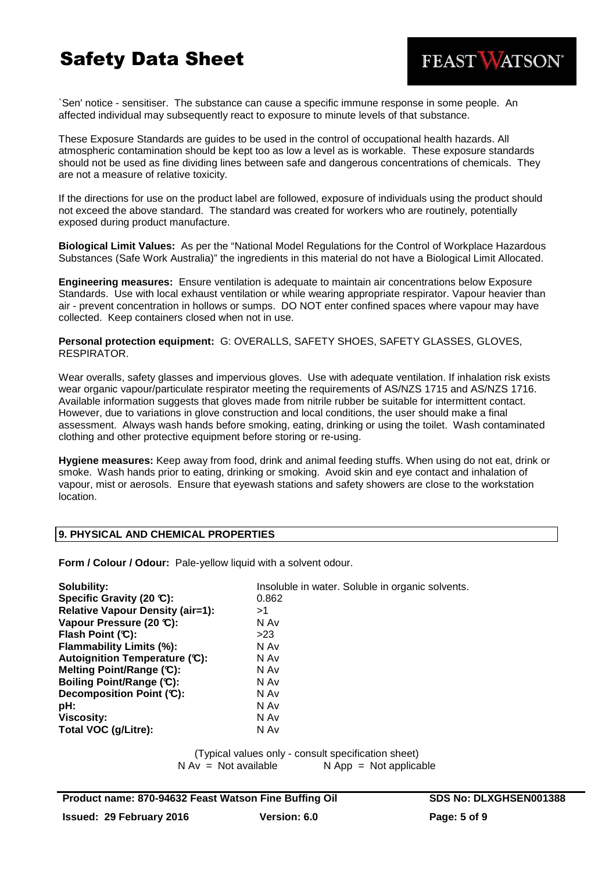

`Sen' notice - sensitiser. The substance can cause a specific immune response in some people. An affected individual may subsequently react to exposure to minute levels of that substance.

These Exposure Standards are guides to be used in the control of occupational health hazards. All atmospheric contamination should be kept too as low a level as is workable. These exposure standards should not be used as fine dividing lines between safe and dangerous concentrations of chemicals. They are not a measure of relative toxicity.

If the directions for use on the product label are followed, exposure of individuals using the product should not exceed the above standard. The standard was created for workers who are routinely, potentially exposed during product manufacture.

**Biological Limit Values:** As per the "National Model Regulations for the Control of Workplace Hazardous Substances (Safe Work Australia)" the ingredients in this material do not have a Biological Limit Allocated.

**Engineering measures:** Ensure ventilation is adequate to maintain air concentrations below Exposure Standards. Use with local exhaust ventilation or while wearing appropriate respirator. Vapour heavier than air - prevent concentration in hollows or sumps. DO NOT enter confined spaces where vapour may have collected. Keep containers closed when not in use.

**Personal protection equipment:** G: OVERALLS, SAFETY SHOES, SAFETY GLASSES, GLOVES, RESPIRATOR.

Wear overalls, safety glasses and impervious gloves. Use with adequate ventilation. If inhalation risk exists wear organic vapour/particulate respirator meeting the requirements of AS/NZS 1715 and AS/NZS 1716. Available information suggests that gloves made from nitrile rubber be suitable for intermittent contact. However, due to variations in glove construction and local conditions, the user should make a final assessment. Always wash hands before smoking, eating, drinking or using the toilet. Wash contaminated clothing and other protective equipment before storing or re-using.

**Hygiene measures:** Keep away from food, drink and animal feeding stuffs. When using do not eat, drink or smoke. Wash hands prior to eating, drinking or smoking. Avoid skin and eye contact and inhalation of vapour, mist or aerosols. Ensure that eyewash stations and safety showers are close to the workstation location.

### **9. PHYSICAL AND CHEMICAL PROPERTIES**

**Form / Colour / Odour:** Pale-yellow liquid with a solvent odour.

| Solubility:                             | Insoluble in water. Soluble in organic solvents. |
|-----------------------------------------|--------------------------------------------------|
| Specific Gravity (20 °C):               | 0.862                                            |
| <b>Relative Vapour Density (air=1):</b> | >1                                               |
| Vapour Pressure (20 °C):                | N Av                                             |
| Flash Point $(C)$ :                     | >23                                              |
| <b>Flammability Limits (%):</b>         | N Av                                             |
| Autoignition Temperature (C):           | N Av                                             |
| Melting Point/Range (C):                | N Av                                             |
| Boiling Point/Range (C):                | N Av                                             |
| Decomposition Point (C):                | N Av                                             |
| pH:                                     | N Av                                             |
| <b>Viscosity:</b>                       | N Av                                             |
| Total VOC (g/Litre):                    | N Av                                             |

(Typical values only - consult specification sheet)  $N Av = Not available$   $N App = Not applicable$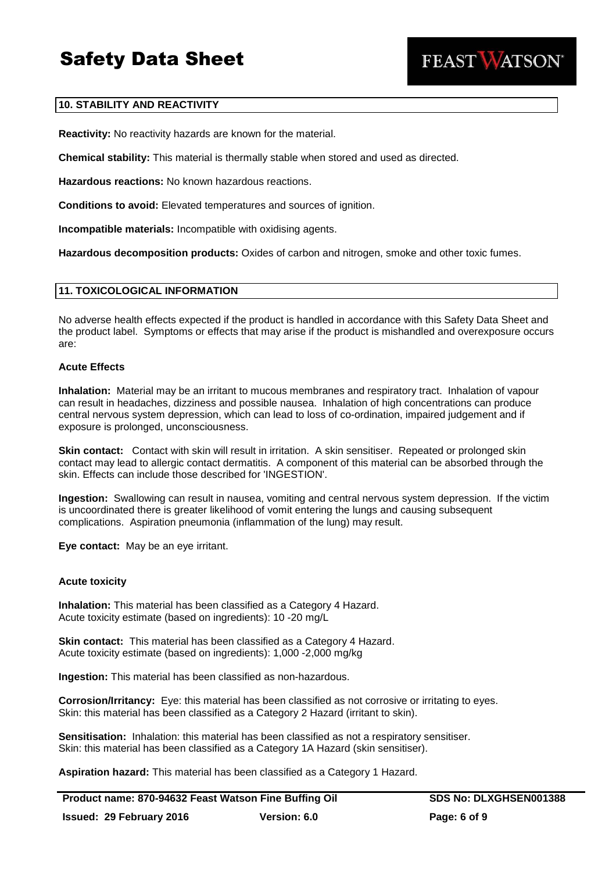

### **10. STABILITY AND REACTIVITY**

**Reactivity:** No reactivity hazards are known for the material.

**Chemical stability:** This material is thermally stable when stored and used as directed.

**Hazardous reactions:** No known hazardous reactions.

**Conditions to avoid:** Elevated temperatures and sources of ignition.

**Incompatible materials:** Incompatible with oxidising agents.

**Hazardous decomposition products:** Oxides of carbon and nitrogen, smoke and other toxic fumes.

### **11. TOXICOLOGICAL INFORMATION**

No adverse health effects expected if the product is handled in accordance with this Safety Data Sheet and the product label. Symptoms or effects that may arise if the product is mishandled and overexposure occurs are:

### **Acute Effects**

**Inhalation:** Material may be an irritant to mucous membranes and respiratory tract. Inhalation of vapour can result in headaches, dizziness and possible nausea. Inhalation of high concentrations can produce central nervous system depression, which can lead to loss of co-ordination, impaired judgement and if exposure is prolonged, unconsciousness.

**Skin contact:** Contact with skin will result in irritation. A skin sensitiser. Repeated or prolonged skin contact may lead to allergic contact dermatitis. A component of this material can be absorbed through the skin. Effects can include those described for 'INGESTION'.

**Ingestion:** Swallowing can result in nausea, vomiting and central nervous system depression. If the victim is uncoordinated there is greater likelihood of vomit entering the lungs and causing subsequent complications. Aspiration pneumonia (inflammation of the lung) may result.

**Eye contact:** May be an eye irritant.

### **Acute toxicity**

**Inhalation:** This material has been classified as a Category 4 Hazard. Acute toxicity estimate (based on ingredients): 10 -20 mg/L

**Skin contact:** This material has been classified as a Category 4 Hazard. Acute toxicity estimate (based on ingredients): 1,000 -2,000 mg/kg

**Ingestion:** This material has been classified as non-hazardous.

**Corrosion/Irritancy:** Eye: this material has been classified as not corrosive or irritating to eyes. Skin: this material has been classified as a Category 2 Hazard (irritant to skin).

**Sensitisation:** Inhalation: this material has been classified as not a respiratory sensitiser. Skin: this material has been classified as a Category 1A Hazard (skin sensitiser).

**Aspiration hazard:** This material has been classified as a Category 1 Hazard.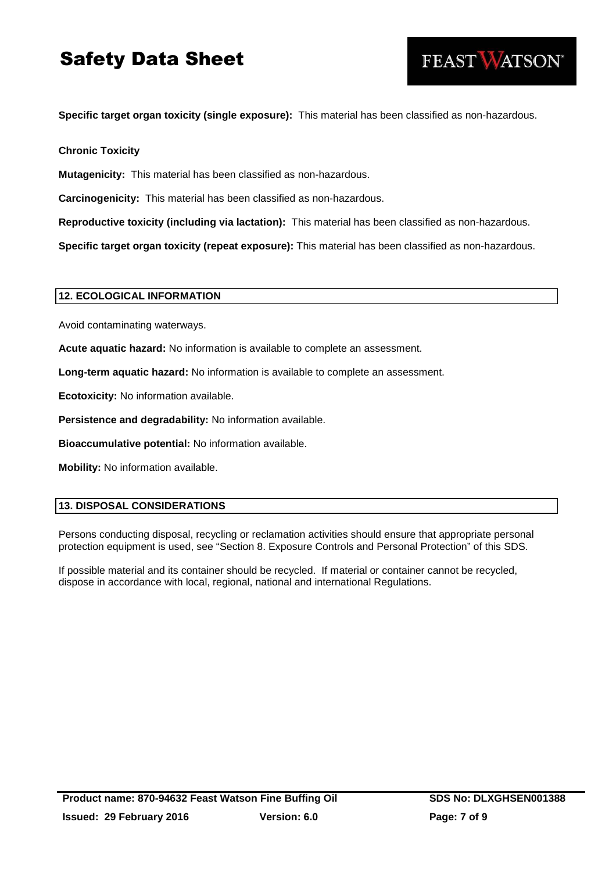**Specific target organ toxicity (single exposure):** This material has been classified as non-hazardous.

**Chronic Toxicity**

**Mutagenicity:** This material has been classified as non-hazardous.

**Carcinogenicity:** This material has been classified as non-hazardous.

**Reproductive toxicity (including via lactation):** This material has been classified as non-hazardous.

**Specific target organ toxicity (repeat exposure):** This material has been classified as non-hazardous.

### **12. ECOLOGICAL INFORMATION**

Avoid contaminating waterways.

**Acute aquatic hazard:** No information is available to complete an assessment.

**Long-term aquatic hazard:** No information is available to complete an assessment.

**Ecotoxicity:** No information available.

**Persistence and degradability:** No information available.

**Bioaccumulative potential:** No information available.

**Mobility:** No information available.

### **13. DISPOSAL CONSIDERATIONS**

Persons conducting disposal, recycling or reclamation activities should ensure that appropriate personal protection equipment is used, see "Section 8. Exposure Controls and Personal Protection" of this SDS.

If possible material and its container should be recycled. If material or container cannot be recycled, dispose in accordance with local, regional, national and international Regulations.

FEAST VATSON®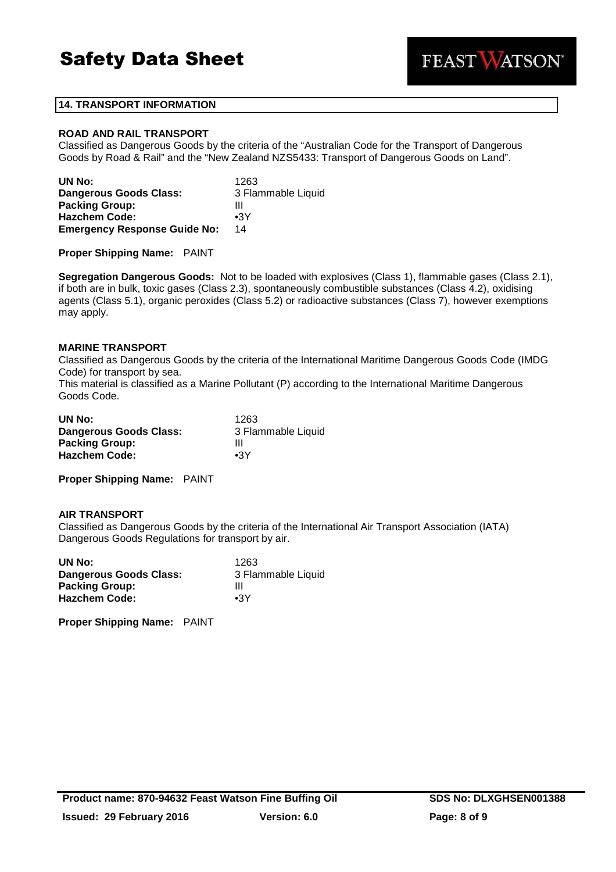

### **14. TRANSPORT INFORMATION**

### **ROAD AND RAIL TRANSPORT**

Classified as Dangerous Goods by the criteria of the "Australian Code for the Transport of Dangerous Goods by Road & Rail" and the "New Zealand NZS5433: Transport of Dangerous Goods on Land".

| UN No:                              | 1263               |
|-------------------------------------|--------------------|
| Dangerous Goods Class:              | 3 Flammable Liquid |
| <b>Packing Group:</b>               | Ш                  |
| <b>Hazchem Code:</b>                | $\bullet$ 3Y       |
| <b>Emergency Response Guide No:</b> | 14                 |

**Proper Shipping Name:** PAINT

**Segregation Dangerous Goods:** Not to be loaded with explosives (Class 1), flammable gases (Class 2.1), if both are in bulk, toxic gases (Class 2.3), spontaneously combustible substances (Class 4.2), oxidising agents (Class 5.1), organic peroxides (Class 5.2) or radioactive substances (Class 7), however exemptions may apply.

### **MARINE TRANSPORT**

Classified as Dangerous Goods by the criteria of the International Maritime Dangerous Goods Code (IMDG Code) for transport by sea.

This material is classified as a Marine Pollutant (P) according to the International Maritime Dangerous Goods Code.

| UN No:                        | 1263               |
|-------------------------------|--------------------|
| <b>Dangerous Goods Class:</b> | 3 Flammable Liquid |
| <b>Packing Group:</b>         | Ш                  |
| <b>Hazchem Code:</b>          | $\bullet$ 3Y       |

**Proper Shipping Name:** PAINT

### **AIR TRANSPORT**

Classified as Dangerous Goods by the criteria of the International Air Transport Association (IATA) Dangerous Goods Regulations for transport by air.

| UN No:                        | 1263               |
|-------------------------------|--------------------|
| <b>Dangerous Goods Class:</b> | 3 Flammable Liquid |
| <b>Packing Group:</b>         | Ш                  |
| <b>Hazchem Code:</b>          | $\bullet$ 3Y       |

**Proper Shipping Name:** PAINT